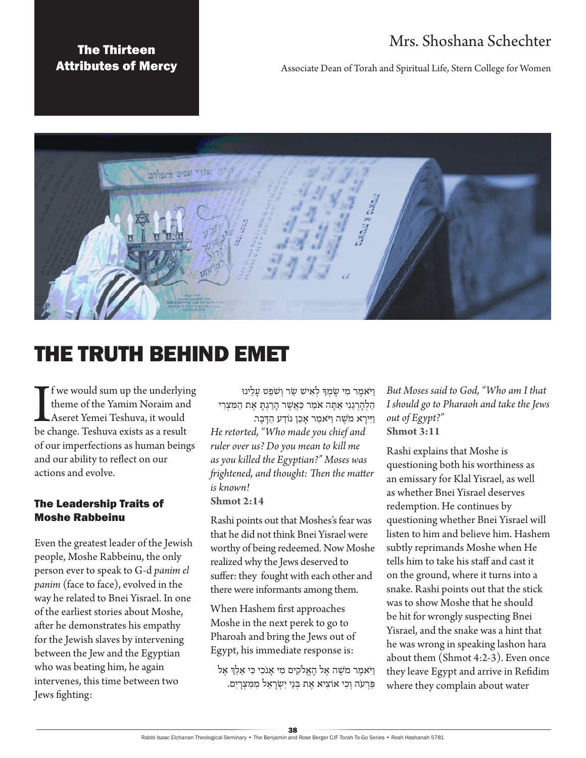## Mrs. Shoshana Schechter

### The Thirteen Attributes of Mercy

Associate Dean of Torah and Spiritual Life, Stern College for Women



# THE TRUTH BEHIND EMET

If we would sum up the underlyir<br>theme of the Yamim Noraim and<br>Aseret Yemei Teshuva, it would<br>be change. Teshuva exists as a result f we would sum up the underlying theme of the Yamim Noraim and Aseret Yemei Teshuva, it would of our imperfections as human beings and our ability to reflect on our actions and evolve.

#### The Leadership Traits of Moshe Rabbeinu

Even the greatest leader of the Jewish people, Moshe Rabbeinu, the only person ever to speak to G-d *panim el panim* (face to face), evolved in the way he related to Bnei Yisrael. In one of the earliest stories about Moshe, after he demonstrates his empathy for the Jewish slaves by intervening between the Jew and the Egyptian who was beating him, he again intervenes, this time between two Jews fighting:

ויֹאמר מ*י שׂמ*ִדּ לֹאישׁ שֹר וֹשֹפַט עלינוּ הַלְהַרְגֵנִי אַתָּה אֹמֵר כַּאֲשֶׁר הָרַגְתָּ אֶת הַמִּצְרִי

וַיִּירַא מֹשֶׁה וַיֹּאמַר אָכֶן נוֹדַע הַדָּבָר. *He retorted, "Who made you chief and ruler over us? Do you mean to kill me as you killed the Egyptian?" Moses was frightened, and thought: Then the matter is known!* **Shmot 2:14**

Rashi points out that Moshes's fear was that he did not think Bnei Yisrael were worthy of being redeemed. Now Moshe realized why the Jews deserved to suffer: they fought with each other and there were informants among them.

When Hashem first approaches Moshe in the next perek to go to Pharoah and bring the Jews out of Egypt, his immediate response is:

וַ יֹאמֶ ר מֹשֶ ה אֶ ל הָ אֱ ֹלקִ ים מִ י אָ נֹכִ י כִ י אֵ לֵ ְך אֶ ל פַּרְעֹה וְכִי אוֹצִיא אֶת בְּנֵי יִשְׂרַאֵל מִמְּצְרַיִם.

*But Moses said to God, "Who am I that I should go to Pharaoh and take the Jews out of Egypt?"* **Shmot 3:11**

Rashi explains that Moshe is questioning both his worthiness as an emissary for Klal Yisrael, as well as whether Bnei Yisrael deserves redemption. He continues by questioning whether Bnei Yisrael will listen to him and believe him. Hashem subtly reprimands Moshe when He tells him to take his staff and cast it on the ground, where it turns into a snake. Rashi points out that the stick was to show Moshe that he should be hit for wrongly suspecting Bnei Yisrael, and the snake was a hint that he was wrong in speaking lashon hara about them (Shmot 4:2-3). Even once they leave Egypt and arrive in Refidim where they complain about water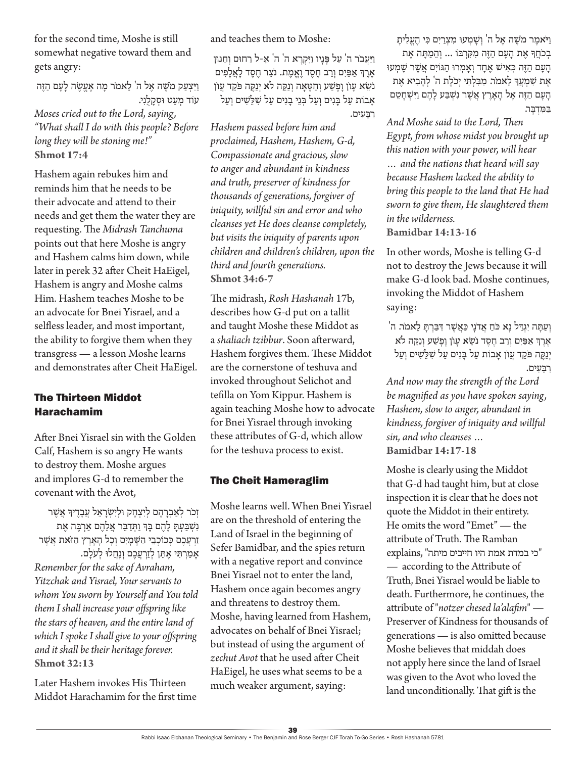for the second time, Moshe is still somewhat negative toward them and gets angry:

וַיִּצְעַק מֹשֶׁה אֵל ה' לֵאמֹר מַה אֶעֱשֶׂה לַעֲם הַזֶּה עוֹד מִעַט וּסְקָלָנִי. *Moses cried out to the Lord, saying, "What shall I do with this people? Before long they will be stoning me!"* **Shmot 17:4**

Hashem again rebukes him and reminds him that he needs to be their advocate and attend to their needs and get them the water they are requesting. The *Midrash Tanchuma* points out that here Moshe is angry and Hashem calms him down, while later in perek 32 after Cheit HaEigel, Hashem is angry and Moshe calms Him. Hashem teaches Moshe to be an advocate for Bnei Yisrael, and a selfless leader, and most important, the ability to forgive them when they transgress — a lesson Moshe learns and demonstrates after Cheit HaEigel.

#### The Thirteen Middot Harachamim

After Bnei Yisrael sin with the Golden Calf, Hashem is so angry He wants to destroy them. Moshe argues and implores G-d to remember the covenant with the Avot,

זכר לאברהם ליצחק וּלישׂראל עבדיד אַשִר נִשְׁ כַּעְתָ לָהֶם בָּךְ וַתְּדַבֵּר אֲלֵהֶם אַרְבֵּה אֵת זַרְעֲכֶם כְּכוֹכְבֵי הַשֶּׁמַיִם וְכָל הַאֲרֶץ הַזֹּאת אֲשֶׁר אָמַרְתִּי אֶתֶן לְזַרְעֲבֶם וְנָחֲלוּ לְעֹלָם. *Remember for the sake of Avraham, Yitzchak and Yisrael, Your servants to whom You sworn by Yourself and You told them I shall increase your offspring like the stars of heaven, and the entire land of which I spoke I shall give to your offspring and it shall be their heritage forever.* **Shmot 32:13**

Later Hashem invokes His Thirteen Middot Harachamim for the first time and teaches them to Moshe:

וַ יַ עֲ בֹר ה' עַ ל פָ נָיו וַ יִקְ רָ א ה' ה' אֵ -ל רַ חּום וְ חַ ּנּון אֶ רֶ ְך אַ פַ יִם וְ רַ ב חֶ סֶ ד וֶ אֱ מֶ ת. נֹצֵ ר חֶ סֶ ד לָ אֲ לָ פִ ים נֹשֵׂא עַוֹן וַפֵּשֵׁע וְחַטַּאַה וְנַקֶּה לֹא יְנַקֶּה פֹּקֶד עֲוֹן אָבוֹת עַל בָּנִים וְעַל בְּנֵי בָנִים עַל *שְׁלֵ*שִׁים וְעַל רִ בֵ עִ ים.

*Hashem passed before him and proclaimed, Hashem, Hashem, G-d, Compassionate and gracious, slow to anger and abundant in kindness and truth, preserver of kindness for thousands of generations, forgiver of iniquity, willful sin and error and who cleanses yet He does cleanse completely, but visits the iniquity of parents upon children and children's children, upon the third and fourth generations.* **Shmot 34:6-7**

The midrash, *Rosh Hashanah* 17b, describes how G-d put on a tallit and taught Moshe these Middot as a *shaliach tzibbur*. Soon afterward, Hashem forgives them. These Middot are the cornerstone of teshuva and invoked throughout Selichot and tefilla on Yom Kippur. Hashem is again teaching Moshe how to advocate for Bnei Yisrael through invoking these attributes of G-d, which allow for the teshuva process to exist.

#### The Cheit Hameraglim

Moshe learns well. When Bnei Yisrael are on the threshold of entering the Land of Israel in the beginning of Sefer Bamidbar, and the spies return with a negative report and convince Bnei Yisrael not to enter the land, Hashem once again becomes angry and threatens to destroy them. Moshe, having learned from Hashem, advocates on behalf of Bnei Yisrael; but instead of using the argument of *zechut Avot* that he used after Cheit HaEigel, he uses what seems to be a much weaker argument, saying:

וַ יֹּאמֵר מֹשֶׁה אֵל ה' וְשָׁמְעוּ מִצְרַיִם כִּי הֶעֱלִיתָ בְכֹחֲדָּ אֶת הַעֲם הַזֶּה מִקְרְבּוֹ ... וְהֵמַתַּה אֶת הַעָם הַזֶּה כְּאִישׁ אָחַד וְאַמְרוּ הַגּוֹיִם אֲשֶׁר שַׁמְעוּ אֶת שִׁמְעֲךָּ לֵאמֹר. מִבְּלִתְּי יְכֹלֶת ה' לְהַבִיא אֶת הָעָם הַזֶּה אֵל הָאָרֵץ אֲשֶׁר נִשְׁבַּע לָהֶם וַיִּשְׁחָטֵם בּמֵדְבֵר.

*And Moshe said to the Lord, Then Egypt, from whose midst you brought up this nation with your power, will hear … and the nations that heard will say because Hashem lacked the ability to bring this people to the land that He had sworn to give them, He slaughtered them in the wilderness.* **Bamidbar 14:13-16**

In other words, Moshe is telling G-d not to destroy the Jews because it will make G-d look bad. Moshe continues, invoking the Middot of Hashem saying:

וְ עַתָּה יִגְדַיל נָא כֹחַ אֲדֹנָי כַּאֲשֶׁר דְּבַּרְתָּ לֵאמֹר. ה' אֶ רֶ ְך אַ פַ יִם וְ רַ ב חֶ סֶ ד נֹשֵ א עָ וֹן וָ פָ שַ ע וְ נַקֵ ה לֹא יְנַקֵּה פֹּקֵד עֲוֹן אַבוֹת עַל בַּנִים עַל *שְׁלֵ*שִׁים וְעַל רִ בֵ עִ ים.

*And now may the strength of the Lord be magnified as you have spoken saying, Hashem, slow to anger, abundant in kindness, forgiver of iniquity and willful sin, and who cleanses …*  **Bamidbar 14:17-18**

Moshe is clearly using the Middot that G-d had taught him, but at close inspection it is clear that he does not quote the Middot in their entirety. He omits the word "Emet" — the attribute of Truth. The Ramban "כי במדת אמת היו חייבים מיתה" ,explains — according to the Attribute of Truth, Bnei Yisrael would be liable to death. Furthermore, he continues, the attribute of "*notzer chesed la'alafim*" — Preserver of Kindness for thousands of generations — is also omitted because Moshe believes that middah does not apply here since the land of Israel was given to the Avot who loved the land unconditionally. That gift is the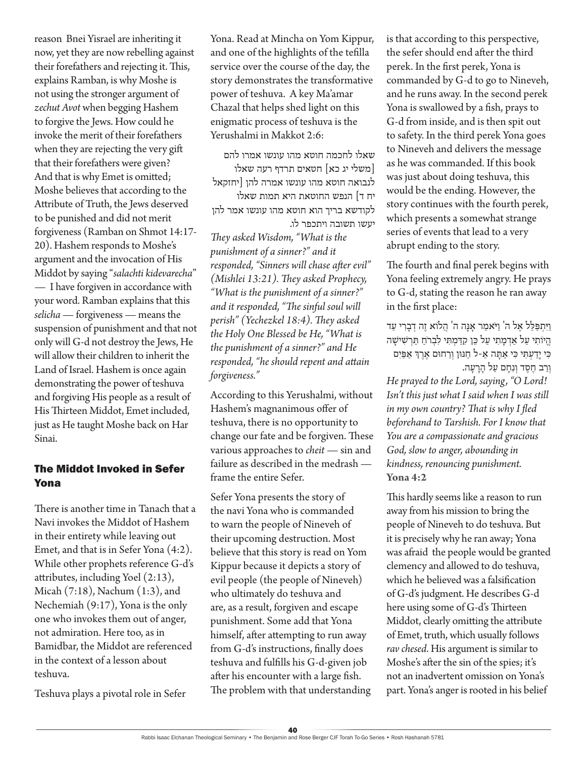reason Bnei Yisrael are inheriting it now, yet they are now rebelling against their forefathers and rejecting it. This, explains Ramban, is why Moshe is not using the stronger argument of *zechut Avot* when begging Hashem to forgive the Jews. How could he invoke the merit of their forefathers when they are rejecting the very gift that their forefathers were given? And that is why Emet is omitted; Moshe believes that according to the Attribute of Truth, the Jews deserved to be punished and did not merit forgiveness (Ramban on Shmot 14:17- 20). Hashem responds to Moshe's argument and the invocation of His Middot by saying "*salachti kidevarecha*" — I have forgiven in accordance with your word. Ramban explains that this *selicha* — forgiveness — means the suspension of punishment and that not only will G-d not destroy the Jews, He will allow their children to inherit the Land of Israel. Hashem is once again demonstrating the power of teshuva and forgiving His people as a result of His Thirteen Middot, Emet included, just as He taught Moshe back on Har Sinai.

#### The Middot Invoked in Sefer Yona

There is another time in Tanach that a Navi invokes the Middot of Hashem in their entirety while leaving out Emet, and that is in Sefer Yona (4:2). While other prophets reference G-d's attributes, including Yoel (2:13), Micah (7:18), Nachum (1:3), and Nechemiah (9:17), Yona is the only one who invokes them out of anger, not admiration. Here too, as in Bamidbar, the Middot are referenced in the context of a lesson about teshuva.

Teshuva plays a pivotal role in Sefer

Yona. Read at Mincha on Yom Kippur, and one of the highlights of the tefilla service over the course of the day, the story demonstrates the transformative power of teshuva. A key Ma'amar Chazal that helps shed light on this enigmatic process of teshuva is the Yerushalmi in Makkot 2:6:

שאלו לחכמה חוטא מהו עונשו אמרו להם ]משלי יג כא[ חטאים תרדף רעה שאלו לנבואה חוטא מהו עונשו אמרה להן ]יחזקאל יח ד] הנפש החוטאת היא תמות שאלו לקודשא בריך הוא חוטא מהו עונשו אמר להן יעשו תשובה ויתכפר לו.

*They asked Wisdom, "What is the punishment of a sinner?" and it responded, "Sinners will chase after evil" (Mishlei 13:21). They asked Prophecy, "What is the punishment of a sinner?" and it responded, "The sinful soul will perish" (Yechezkel 18:4). They asked the Holy One Blessed be He, "What is the punishment of a sinner?" and He responded, "he should repent and attain forgiveness."*

According to this Yerushalmi, without Hashem's magnanimous offer of teshuva, there is no opportunity to change our fate and be forgiven. These various approaches to *cheit* — sin and failure as described in the medrash frame the entire Sefer.

Sefer Yona presents the story of the navi Yona who is commanded to warn the people of Nineveh of their upcoming destruction. Most believe that this story is read on Yom Kippur because it depicts a story of evil people (the people of Nineveh) who ultimately do teshuva and are, as a result, forgiven and escape punishment. Some add that Yona himself, after attempting to run away from G-d's instructions, finally does teshuva and fulfills his G-d-given job after his encounter with a large fish. The problem with that understanding is that according to this perspective, the sefer should end after the third perek. In the first perek, Yona is commanded by G-d to go to Nineveh, and he runs away. In the second perek Yona is swallowed by a fish, prays to G-d from inside, and is then spit out to safety. In the third perek Yona goes to Nineveh and delivers the message as he was commanded. If this book was just about doing teshuva, this would be the ending. However, the story continues with the fourth perek, which presents a somewhat strange series of events that lead to a very abrupt ending to the story.

The fourth and final perek begins with Yona feeling extremely angry. He prays to G-d, stating the reason he ran away in the first place:

וַיִּתְפַּלֵל אֶל ה' וַיֹּאמַר אָנָה ה' הֲלֹוֹא זֶה דְבָרִי עַד הֱ יֹוֹתִי עַל אַדְמַתִי עַל כֵּן קִדַּמִתִּי לִבְרֹחַ תַּרְשִׁישַׁה כִ י יָדַ עְ תִ י כִ י אַ תָ ה אֵ -ל חַ ּנּון וְ רַ חּום אֶ רֶ ְך אַ פַ יִם וְרַב חֶסֶד וְנִחַם עַל הַרַעֲה. *He prayed to the Lord, saying, "O Lord! Isn't this just what I said when I was still in my own country? That is why I fled beforehand to Tarshish. For I know that You are a compassionate and gracious God, slow to anger, abounding in kindness, renouncing punishment.* **Yona 4:2**

This hardly seems like a reason to run away from his mission to bring the people of Nineveh to do teshuva. But it is precisely why he ran away; Yona was afraid the people would be granted clemency and allowed to do teshuva, which he believed was a falsification of G-d's judgment. He describes G-d here using some of G-d's Thirteen Middot, clearly omitting the attribute of Emet, truth, which usually follows *rav chesed*. His argument is similar to Moshe's after the sin of the spies; it's not an inadvertent omission on Yona's part. Yona's anger is rooted in his belief